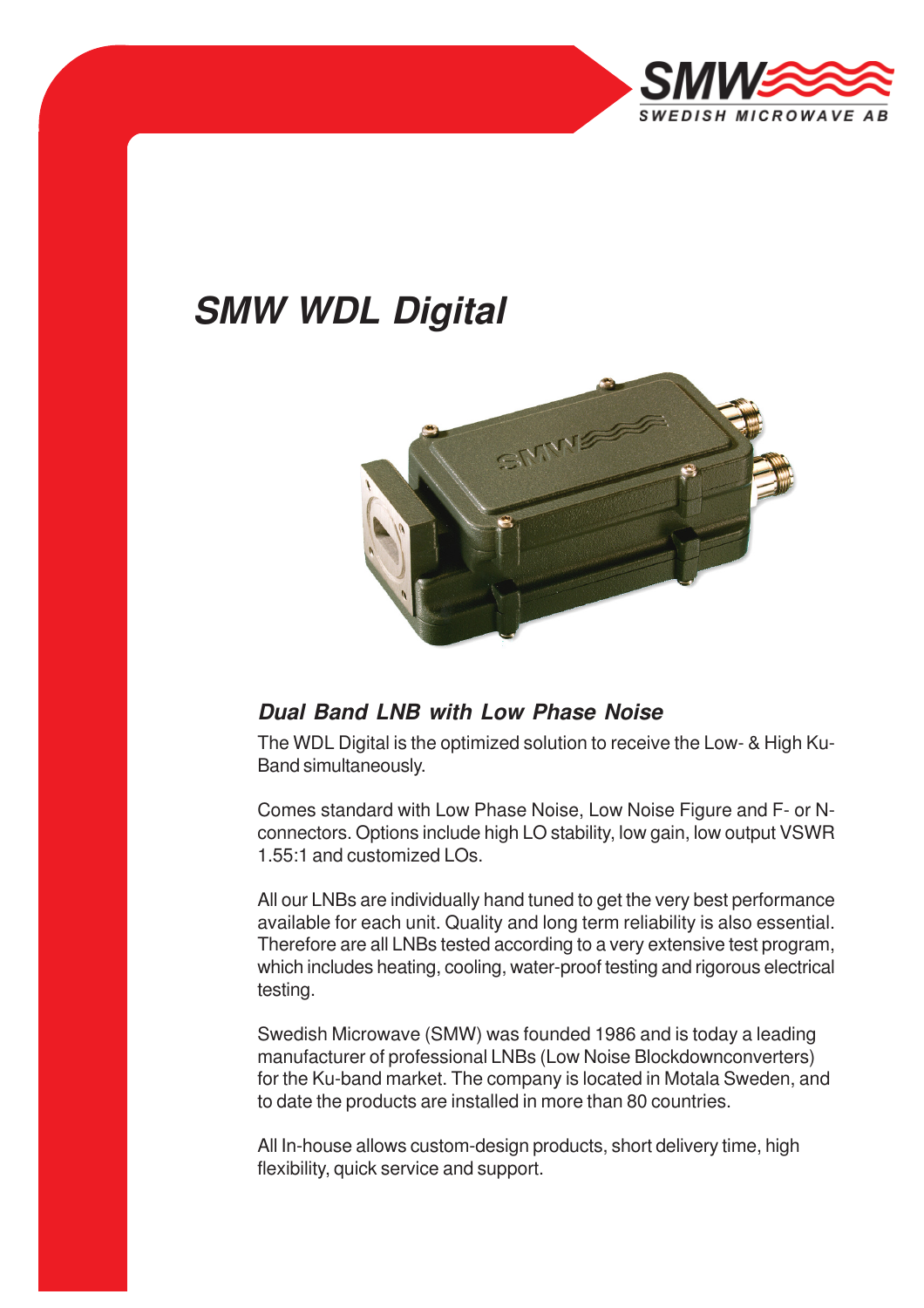

## **SMW WDL Digital**



## **Dual Band LNB with Low Phase Noise**

The WDL Digital is the optimized solution to receive the Low- & High Ku-Band simultaneously.

Comes standard with Low Phase Noise, Low Noise Figure and F- or Nconnectors. Options include high LO stability, low gain, low output VSWR 1.55:1 and customized LOs.

All our LNBs are individually hand tuned to get the very best performance available for each unit. Quality and long term reliability is also essential. Therefore are all LNBs tested according to a very extensive test program, which includes heating, cooling, water-proof testing and rigorous electrical testing.

Swedish Microwave (SMW) was founded 1986 and is today a leading manufacturer of professional LNBs (Low Noise Blockdownconverters) for the Ku-band market. The company is located in Motala Sweden, and to date the products are installed in more than 80 countries.

All In-house allows custom-design products, short delivery time, high flexibility, quick service and support.